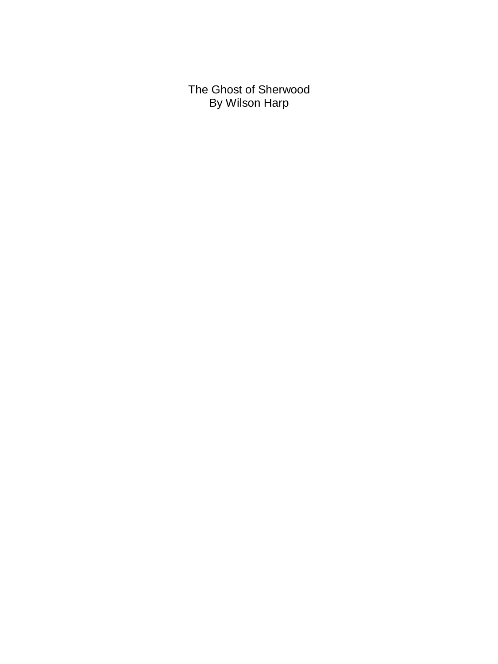The Ghost of Sherwood By Wilson Harp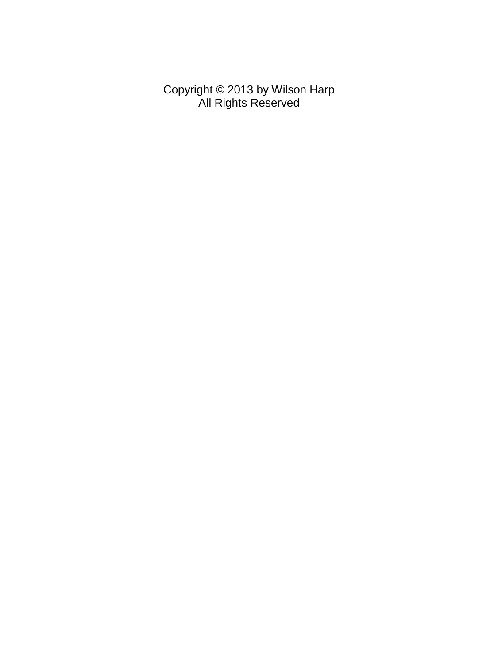Copyright © 2013 by Wilson Harp All Rights Reserved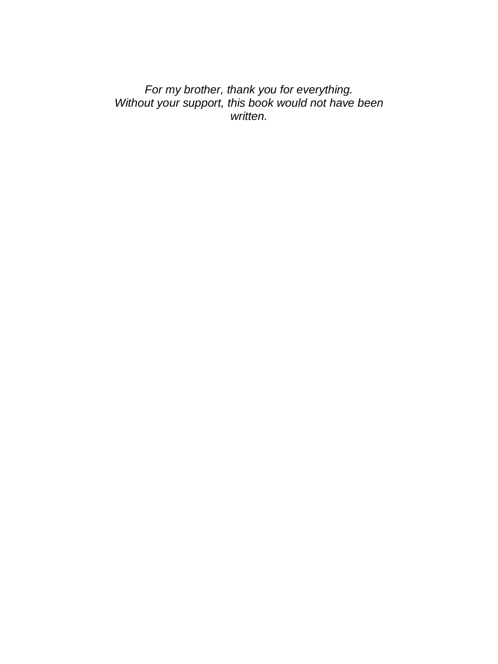*For my brother, thank you for everything. Without your support, this book would not have been written.*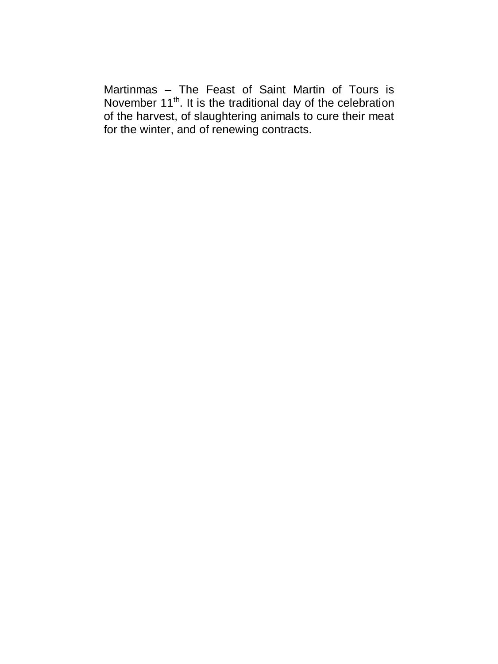Martinmas – The Feast of Saint Martin of Tours is November 11<sup>th</sup>. It is the traditional day of the celebration of the harvest, of slaughtering animals to cure their meat for the winter, and of renewing contracts.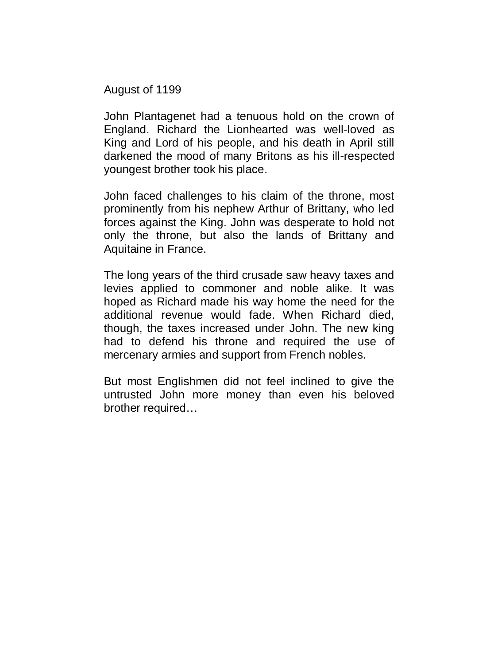August of 1199

John Plantagenet had a tenuous hold on the crown of England. Richard the Lionhearted was well-loved as King and Lord of his people, and his death in April still darkened the mood of many Britons as his ill-respected youngest brother took his place.

John faced challenges to his claim of the throne, most prominently from his nephew Arthur of Brittany, who led forces against the King. John was desperate to hold not only the throne, but also the lands of Brittany and Aquitaine in France.

The long years of the third crusade saw heavy taxes and levies applied to commoner and noble alike. It was hoped as Richard made his way home the need for the additional revenue would fade. When Richard died, though, the taxes increased under John. The new king had to defend his throne and required the use of mercenary armies and support from French nobles.

But most Englishmen did not feel inclined to give the untrusted John more money than even his beloved brother required…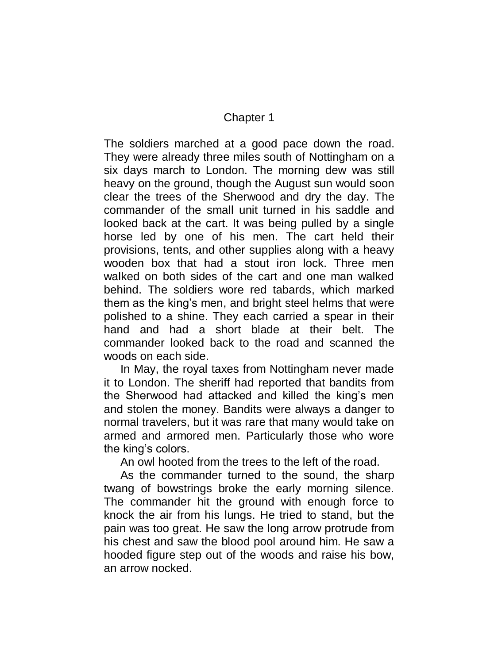## Chapter 1

The soldiers marched at a good pace down the road. They were already three miles south of Nottingham on a six days march to London. The morning dew was still heavy on the ground, though the August sun would soon clear the trees of the Sherwood and dry the day. The commander of the small unit turned in his saddle and looked back at the cart. It was being pulled by a single horse led by one of his men. The cart held their provisions, tents, and other supplies along with a heavy wooden box that had a stout iron lock. Three men walked on both sides of the cart and one man walked behind. The soldiers wore red tabards, which marked them as the king's men, and bright steel helms that were polished to a shine. They each carried a spear in their hand and had a short blade at their belt. The commander looked back to the road and scanned the woods on each side.

In May, the royal taxes from Nottingham never made it to London. The sheriff had reported that bandits from the Sherwood had attacked and killed the king's men and stolen the money. Bandits were always a danger to normal travelers, but it was rare that many would take on armed and armored men. Particularly those who wore the king's colors.

An owl hooted from the trees to the left of the road.

As the commander turned to the sound, the sharp twang of bowstrings broke the early morning silence. The commander hit the ground with enough force to knock the air from his lungs. He tried to stand, but the pain was too great. He saw the long arrow protrude from his chest and saw the blood pool around him. He saw a hooded figure step out of the woods and raise his bow, an arrow nocked.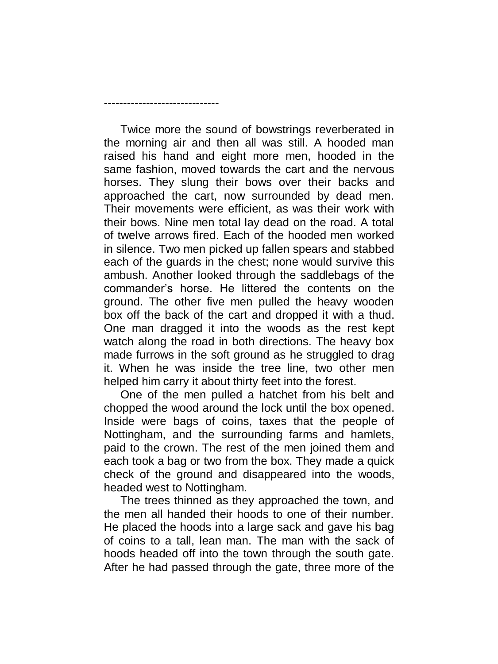Twice more the sound of bowstrings reverberated in the morning air and then all was still. A hooded man raised his hand and eight more men, hooded in the same fashion, moved towards the cart and the nervous horses. They slung their bows over their backs and approached the cart, now surrounded by dead men. Their movements were efficient, as was their work with their bows. Nine men total lay dead on the road. A total of twelve arrows fired. Each of the hooded men worked in silence. Two men picked up fallen spears and stabbed each of the guards in the chest; none would survive this ambush. Another looked through the saddlebags of the commander's horse. He littered the contents on the ground. The other five men pulled the heavy wooden box off the back of the cart and dropped it with a thud. One man dragged it into the woods as the rest kept watch along the road in both directions. The heavy box made furrows in the soft ground as he struggled to drag it. When he was inside the tree line, two other men helped him carry it about thirty feet into the forest.

------------------------------

One of the men pulled a hatchet from his belt and chopped the wood around the lock until the box opened. Inside were bags of coins, taxes that the people of Nottingham, and the surrounding farms and hamlets, paid to the crown. The rest of the men joined them and each took a bag or two from the box. They made a quick check of the ground and disappeared into the woods, headed west to Nottingham.

The trees thinned as they approached the town, and the men all handed their hoods to one of their number. He placed the hoods into a large sack and gave his bag of coins to a tall, lean man. The man with the sack of hoods headed off into the town through the south gate. After he had passed through the gate, three more of the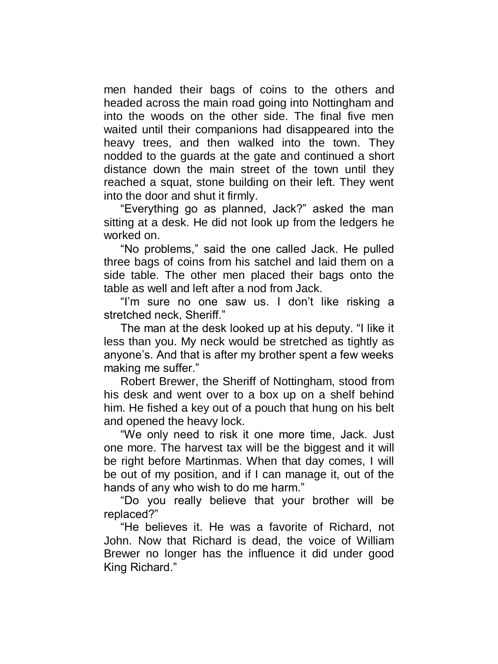men handed their bags of coins to the others and headed across the main road going into Nottingham and into the woods on the other side. The final five men waited until their companions had disappeared into the heavy trees, and then walked into the town. They nodded to the guards at the gate and continued a short distance down the main street of the town until they reached a squat, stone building on their left. They went into the door and shut it firmly.

"Everything go as planned, Jack?" asked the man sitting at a desk. He did not look up from the ledgers he worked on.

"No problems," said the one called Jack. He pulled three bags of coins from his satchel and laid them on a side table. The other men placed their bags onto the table as well and left after a nod from Jack.

"I'm sure no one saw us. I don't like risking a stretched neck, Sheriff."

The man at the desk looked up at his deputy. "I like it less than you. My neck would be stretched as tightly as anyone's. And that is after my brother spent a few weeks making me suffer."

Robert Brewer, the Sheriff of Nottingham, stood from his desk and went over to a box up on a shelf behind him. He fished a key out of a pouch that hung on his belt and opened the heavy lock.

"We only need to risk it one more time, Jack. Just one more. The harvest tax will be the biggest and it will be right before Martinmas. When that day comes, I will be out of my position, and if I can manage it, out of the hands of any who wish to do me harm."

"Do you really believe that your brother will be replaced?"

"He believes it. He was a favorite of Richard, not John. Now that Richard is dead, the voice of William Brewer no longer has the influence it did under good King Richard."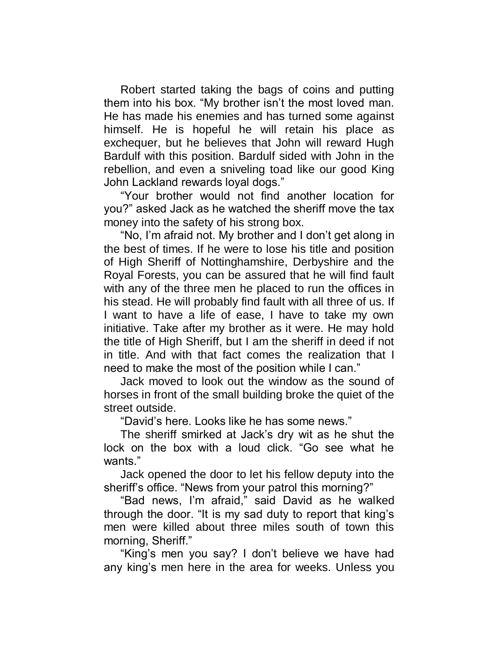Robert started taking the bags of coins and putting them into his box. "My brother isn't the most loved man. He has made his enemies and has turned some against himself. He is hopeful he will retain his place as exchequer, but he believes that John will reward Hugh Bardulf with this position. Bardulf sided with John in the rebellion, and even a sniveling toad like our good King John Lackland rewards loyal dogs."

"Your brother would not find another location for you?" asked Jack as he watched the sheriff move the tax money into the safety of his strong box.

"No, I'm afraid not. My brother and I don't get along in the best of times. If he were to lose his title and position of High Sheriff of Nottinghamshire, Derbyshire and the Royal Forests, you can be assured that he will find fault with any of the three men he placed to run the offices in his stead. He will probably find fault with all three of us. If I want to have a life of ease, I have to take my own initiative. Take after my brother as it were. He may hold the title of High Sheriff, but I am the sheriff in deed if not in title. And with that fact comes the realization that I need to make the most of the position while I can."

Jack moved to look out the window as the sound of horses in front of the small building broke the quiet of the street outside.

"David's here. Looks like he has some news."

The sheriff smirked at Jack's dry wit as he shut the lock on the box with a loud click. "Go see what he wants."

Jack opened the door to let his fellow deputy into the sheriff's office. "News from your patrol this morning?"

"Bad news, I'm afraid," said David as he walked through the door. "It is my sad duty to report that king's men were killed about three miles south of town this morning, Sheriff."

"King's men you say? I don't believe we have had any king's men here in the area for weeks. Unless you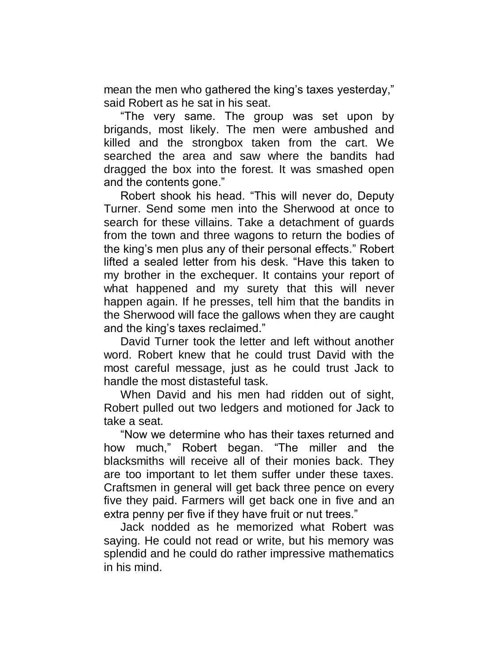mean the men who gathered the king's taxes yesterday," said Robert as he sat in his seat.

"The very same. The group was set upon by brigands, most likely. The men were ambushed and killed and the strongbox taken from the cart. We searched the area and saw where the bandits had dragged the box into the forest. It was smashed open and the contents gone."

Robert shook his head. "This will never do, Deputy Turner. Send some men into the Sherwood at once to search for these villains. Take a detachment of guards from the town and three wagons to return the bodies of the king's men plus any of their personal effects." Robert lifted a sealed letter from his desk. "Have this taken to my brother in the exchequer. It contains your report of what happened and my surety that this will never happen again. If he presses, tell him that the bandits in the Sherwood will face the gallows when they are caught and the king's taxes reclaimed."

David Turner took the letter and left without another word. Robert knew that he could trust David with the most careful message, just as he could trust Jack to handle the most distasteful task.

When David and his men had ridden out of sight, Robert pulled out two ledgers and motioned for Jack to take a seat.

"Now we determine who has their taxes returned and how much," Robert began. "The miller and the blacksmiths will receive all of their monies back. They are too important to let them suffer under these taxes. Craftsmen in general will get back three pence on every five they paid. Farmers will get back one in five and an extra penny per five if they have fruit or nut trees."

Jack nodded as he memorized what Robert was saying. He could not read or write, but his memory was splendid and he could do rather impressive mathematics in his mind.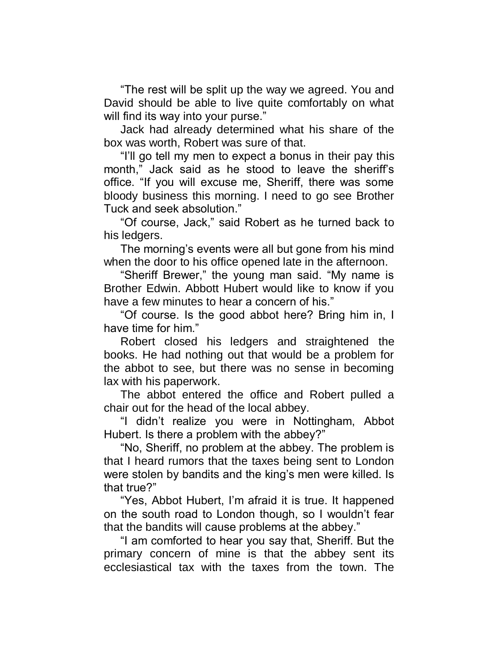"The rest will be split up the way we agreed. You and David should be able to live quite comfortably on what will find its way into your purse."

Jack had already determined what his share of the box was worth, Robert was sure of that.

"I'll go tell my men to expect a bonus in their pay this month," Jack said as he stood to leave the sheriff's office. "If you will excuse me, Sheriff, there was some bloody business this morning. I need to go see Brother Tuck and seek absolution."

"Of course, Jack," said Robert as he turned back to his ledgers.

The morning's events were all but gone from his mind when the door to his office opened late in the afternoon.

"Sheriff Brewer," the young man said. "My name is Brother Edwin. Abbott Hubert would like to know if you have a few minutes to hear a concern of his."

"Of course. Is the good abbot here? Bring him in, I have time for him."

Robert closed his ledgers and straightened the books. He had nothing out that would be a problem for the abbot to see, but there was no sense in becoming lax with his paperwork.

The abbot entered the office and Robert pulled a chair out for the head of the local abbey.

"I didn't realize you were in Nottingham, Abbot Hubert. Is there a problem with the abbey?"

"No, Sheriff, no problem at the abbey. The problem is that I heard rumors that the taxes being sent to London were stolen by bandits and the king's men were killed. Is that true?"

"Yes, Abbot Hubert, I'm afraid it is true. It happened on the south road to London though, so I wouldn't fear that the bandits will cause problems at the abbey."

"I am comforted to hear you say that, Sheriff. But the primary concern of mine is that the abbey sent its ecclesiastical tax with the taxes from the town. The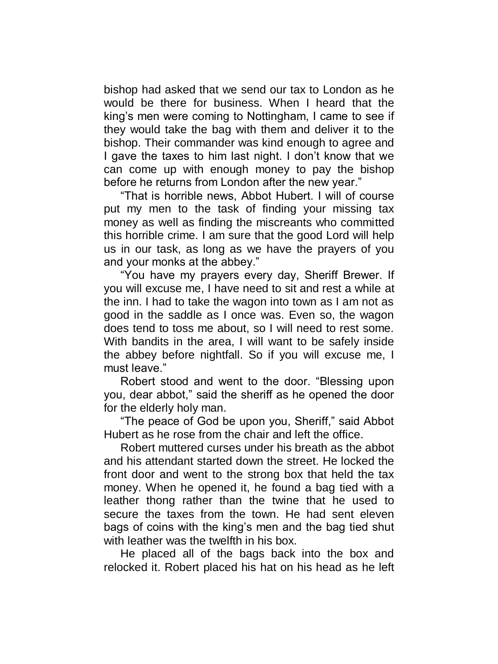bishop had asked that we send our tax to London as he would be there for business. When I heard that the king's men were coming to Nottingham, I came to see if they would take the bag with them and deliver it to the bishop. Their commander was kind enough to agree and I gave the taxes to him last night. I don't know that we can come up with enough money to pay the bishop before he returns from London after the new year."

"That is horrible news, Abbot Hubert. I will of course put my men to the task of finding your missing tax money as well as finding the miscreants who committed this horrible crime. I am sure that the good Lord will help us in our task, as long as we have the prayers of you and your monks at the abbey."

"You have my prayers every day, Sheriff Brewer. If you will excuse me, I have need to sit and rest a while at the inn. I had to take the wagon into town as I am not as good in the saddle as I once was. Even so, the wagon does tend to toss me about, so I will need to rest some. With bandits in the area, I will want to be safely inside the abbey before nightfall. So if you will excuse me, I must leave."

Robert stood and went to the door. "Blessing upon you, dear abbot," said the sheriff as he opened the door for the elderly holy man.

"The peace of God be upon you, Sheriff," said Abbot Hubert as he rose from the chair and left the office.

Robert muttered curses under his breath as the abbot and his attendant started down the street. He locked the front door and went to the strong box that held the tax money. When he opened it, he found a bag tied with a leather thong rather than the twine that he used to secure the taxes from the town. He had sent eleven bags of coins with the king's men and the bag tied shut with leather was the twelfth in his box.

He placed all of the bags back into the box and relocked it. Robert placed his hat on his head as he left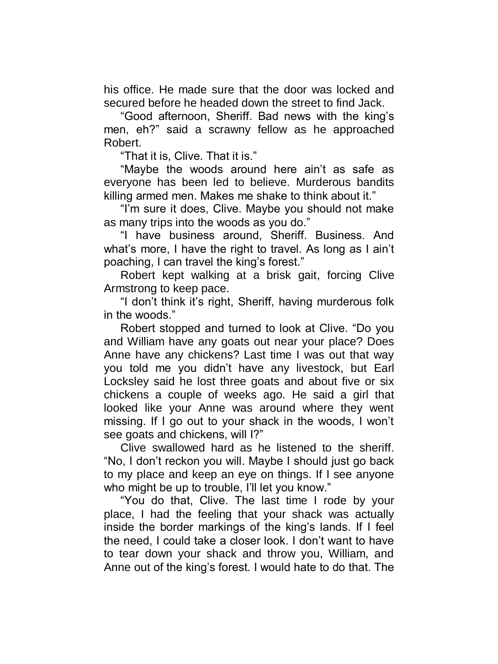his office. He made sure that the door was locked and secured before he headed down the street to find Jack.

"Good afternoon, Sheriff. Bad news with the king's men, eh?" said a scrawny fellow as he approached Robert.

"That it is, Clive. That it is."

"Maybe the woods around here ain't as safe as everyone has been led to believe. Murderous bandits killing armed men. Makes me shake to think about it."

"I'm sure it does, Clive. Maybe you should not make as many trips into the woods as you do."

"I have business around, Sheriff. Business. And what's more, I have the right to travel. As long as I ain't poaching, I can travel the king's forest."

Robert kept walking at a brisk gait, forcing Clive Armstrong to keep pace.

"I don't think it's right, Sheriff, having murderous folk in the woods."

Robert stopped and turned to look at Clive. "Do you and William have any goats out near your place? Does Anne have any chickens? Last time I was out that way you told me you didn't have any livestock, but Earl Locksley said he lost three goats and about five or six chickens a couple of weeks ago. He said a girl that looked like your Anne was around where they went missing. If I go out to your shack in the woods, I won't see goats and chickens, will I?"

Clive swallowed hard as he listened to the sheriff. "No, I don't reckon you will. Maybe I should just go back to my place and keep an eye on things. If I see anyone who might be up to trouble, I'll let you know."

"You do that, Clive. The last time I rode by your place, I had the feeling that your shack was actually inside the border markings of the king's lands. If I feel the need, I could take a closer look. I don't want to have to tear down your shack and throw you, William, and Anne out of the king's forest. I would hate to do that. The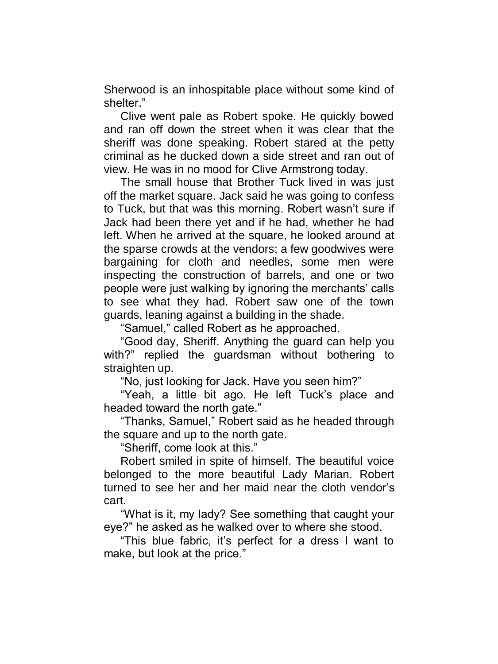Sherwood is an inhospitable place without some kind of shelter."

Clive went pale as Robert spoke. He quickly bowed and ran off down the street when it was clear that the sheriff was done speaking. Robert stared at the petty criminal as he ducked down a side street and ran out of view. He was in no mood for Clive Armstrong today.

The small house that Brother Tuck lived in was just off the market square. Jack said he was going to confess to Tuck, but that was this morning. Robert wasn't sure if Jack had been there yet and if he had, whether he had left. When he arrived at the square, he looked around at the sparse crowds at the vendors; a few goodwives were bargaining for cloth and needles, some men were inspecting the construction of barrels, and one or two people were just walking by ignoring the merchants' calls to see what they had. Robert saw one of the town guards, leaning against a building in the shade.

"Samuel," called Robert as he approached.

"Good day, Sheriff. Anything the guard can help you with?" replied the guardsman without bothering to straighten up.

"No, just looking for Jack. Have you seen him?"

"Yeah, a little bit ago. He left Tuck's place and headed toward the north gate."

"Thanks, Samuel," Robert said as he headed through the square and up to the north gate.

"Sheriff, come look at this."

Robert smiled in spite of himself. The beautiful voice belonged to the more beautiful Lady Marian. Robert turned to see her and her maid near the cloth vendor's cart.

"What is it, my lady? See something that caught your eye?" he asked as he walked over to where she stood.

"This blue fabric, it's perfect for a dress I want to make, but look at the price."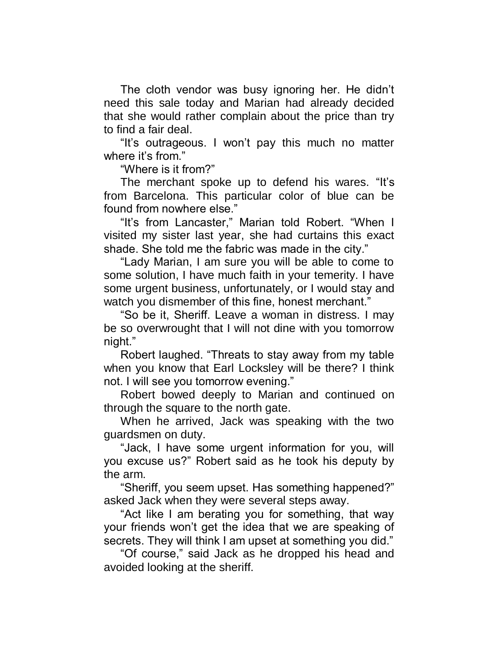The cloth vendor was busy ignoring her. He didn't need this sale today and Marian had already decided that she would rather complain about the price than try to find a fair deal.

"It's outrageous. I won't pay this much no matter where it's from."

"Where is it from?"

The merchant spoke up to defend his wares. "It's from Barcelona. This particular color of blue can be found from nowhere else."

"It's from Lancaster," Marian told Robert. "When I visited my sister last year, she had curtains this exact shade. She told me the fabric was made in the city."

"Lady Marian, I am sure you will be able to come to some solution, I have much faith in your temerity. I have some urgent business, unfortunately, or I would stay and watch you dismember of this fine, honest merchant."

"So be it, Sheriff. Leave a woman in distress. I may be so overwrought that I will not dine with you tomorrow night."

Robert laughed. "Threats to stay away from my table when you know that Earl Locksley will be there? I think not. I will see you tomorrow evening."

Robert bowed deeply to Marian and continued on through the square to the north gate.

When he arrived, Jack was speaking with the two guardsmen on duty.

"Jack, I have some urgent information for you, will you excuse us?" Robert said as he took his deputy by the arm.

"Sheriff, you seem upset. Has something happened?" asked Jack when they were several steps away.

"Act like I am berating you for something, that way your friends won't get the idea that we are speaking of secrets. They will think I am upset at something you did."

"Of course," said Jack as he dropped his head and avoided looking at the sheriff.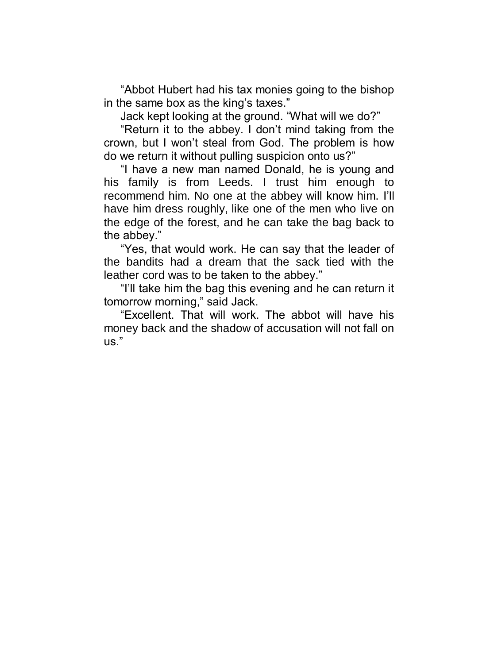"Abbot Hubert had his tax monies going to the bishop in the same box as the king's taxes."

Jack kept looking at the ground. "What will we do?"

"Return it to the abbey. I don't mind taking from the crown, but I won't steal from God. The problem is how do we return it without pulling suspicion onto us?"

"I have a new man named Donald, he is young and his family is from Leeds. I trust him enough to recommend him. No one at the abbey will know him. I'll have him dress roughly, like one of the men who live on the edge of the forest, and he can take the bag back to the abbey."

"Yes, that would work. He can say that the leader of the bandits had a dream that the sack tied with the leather cord was to be taken to the abbey."

"I'll take him the bag this evening and he can return it tomorrow morning," said Jack.

"Excellent. That will work. The abbot will have his money back and the shadow of accusation will not fall on us."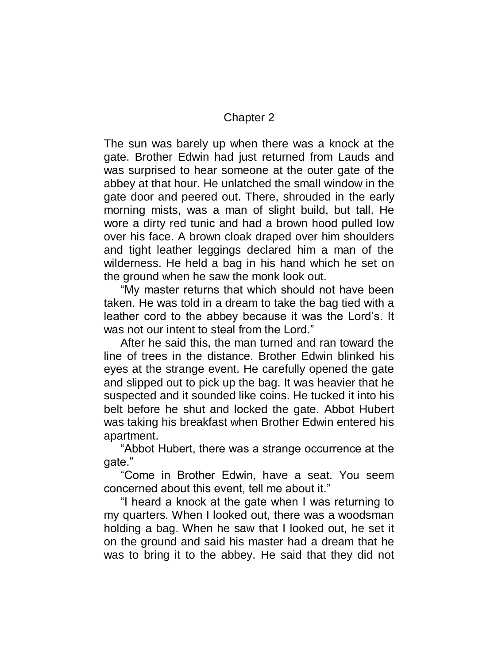## Chapter 2

The sun was barely up when there was a knock at the gate. Brother Edwin had just returned from Lauds and was surprised to hear someone at the outer gate of the abbey at that hour. He unlatched the small window in the gate door and peered out. There, shrouded in the early morning mists, was a man of slight build, but tall. He wore a dirty red tunic and had a brown hood pulled low over his face. A brown cloak draped over him shoulders and tight leather leggings declared him a man of the wilderness. He held a bag in his hand which he set on the ground when he saw the monk look out.

"My master returns that which should not have been taken. He was told in a dream to take the bag tied with a leather cord to the abbey because it was the Lord's. It was not our intent to steal from the Lord."

After he said this, the man turned and ran toward the line of trees in the distance. Brother Edwin blinked his eyes at the strange event. He carefully opened the gate and slipped out to pick up the bag. It was heavier that he suspected and it sounded like coins. He tucked it into his belt before he shut and locked the gate. Abbot Hubert was taking his breakfast when Brother Edwin entered his apartment.

"Abbot Hubert, there was a strange occurrence at the gate."

"Come in Brother Edwin, have a seat. You seem concerned about this event, tell me about it."

"I heard a knock at the gate when I was returning to my quarters. When I looked out, there was a woodsman holding a bag. When he saw that I looked out, he set it on the ground and said his master had a dream that he was to bring it to the abbey. He said that they did not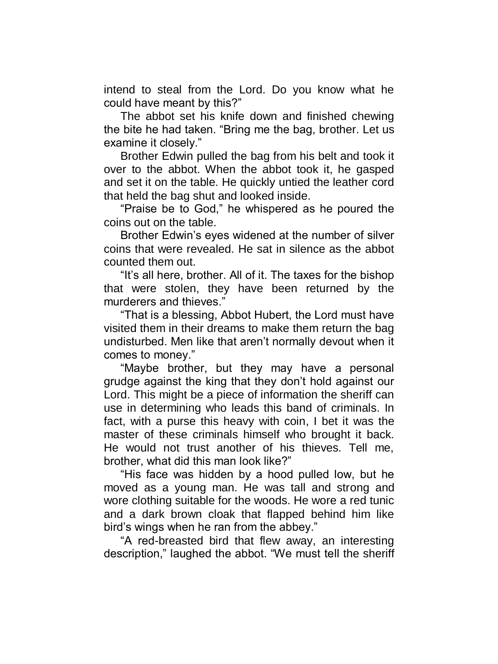intend to steal from the Lord. Do you know what he could have meant by this?"

The abbot set his knife down and finished chewing the bite he had taken. "Bring me the bag, brother. Let us examine it closely."

Brother Edwin pulled the bag from his belt and took it over to the abbot. When the abbot took it, he gasped and set it on the table. He quickly untied the leather cord that held the bag shut and looked inside.

"Praise be to God," he whispered as he poured the coins out on the table.

Brother Edwin's eyes widened at the number of silver coins that were revealed. He sat in silence as the abbot counted them out.

"It's all here, brother. All of it. The taxes for the bishop that were stolen, they have been returned by the murderers and thieves."

"That is a blessing, Abbot Hubert, the Lord must have visited them in their dreams to make them return the bag undisturbed. Men like that aren't normally devout when it comes to money."

"Maybe brother, but they may have a personal grudge against the king that they don't hold against our Lord. This might be a piece of information the sheriff can use in determining who leads this band of criminals. In fact, with a purse this heavy with coin, I bet it was the master of these criminals himself who brought it back. He would not trust another of his thieves. Tell me, brother, what did this man look like?"

"His face was hidden by a hood pulled low, but he moved as a young man. He was tall and strong and wore clothing suitable for the woods. He wore a red tunic and a dark brown cloak that flapped behind him like bird's wings when he ran from the abbey."

"A red-breasted bird that flew away, an interesting description," laughed the abbot. "We must tell the sheriff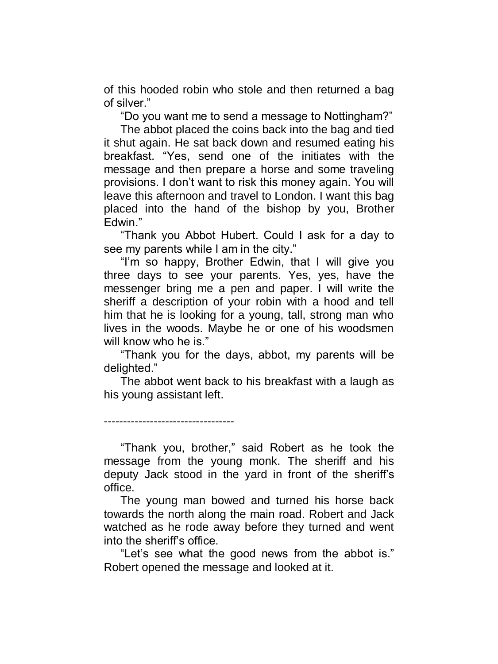of this hooded robin who stole and then returned a bag of silver."

"Do you want me to send a message to Nottingham?"

The abbot placed the coins back into the bag and tied it shut again. He sat back down and resumed eating his breakfast. "Yes, send one of the initiates with the message and then prepare a horse and some traveling provisions. I don't want to risk this money again. You will leave this afternoon and travel to London. I want this bag placed into the hand of the bishop by you, Brother Edwin."

"Thank you Abbot Hubert. Could I ask for a day to see my parents while I am in the city."

"I'm so happy, Brother Edwin, that I will give you three days to see your parents. Yes, yes, have the messenger bring me a pen and paper. I will write the sheriff a description of your robin with a hood and tell him that he is looking for a young, tall, strong man who lives in the woods. Maybe he or one of his woodsmen will know who he is."

"Thank you for the days, abbot, my parents will be delighted."

The abbot went back to his breakfast with a laugh as his young assistant left.

----------------------------------

"Thank you, brother," said Robert as he took the message from the young monk. The sheriff and his deputy Jack stood in the yard in front of the sheriff's office.

The young man bowed and turned his horse back towards the north along the main road. Robert and Jack watched as he rode away before they turned and went into the sheriff's office.

"Let's see what the good news from the abbot is." Robert opened the message and looked at it.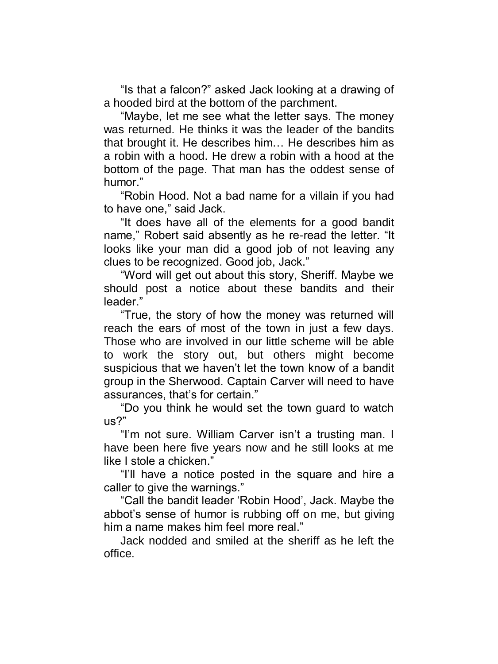"Is that a falcon?" asked Jack looking at a drawing of a hooded bird at the bottom of the parchment.

"Maybe, let me see what the letter says. The money was returned. He thinks it was the leader of the bandits that brought it. He describes him… He describes him as a robin with a hood. He drew a robin with a hood at the bottom of the page. That man has the oddest sense of humor."

"Robin Hood. Not a bad name for a villain if you had to have one," said Jack.

"It does have all of the elements for a good bandit name," Robert said absently as he re-read the letter. "It looks like your man did a good job of not leaving any clues to be recognized. Good job, Jack."

"Word will get out about this story, Sheriff. Maybe we should post a notice about these bandits and their leader."

"True, the story of how the money was returned will reach the ears of most of the town in just a few days. Those who are involved in our little scheme will be able to work the story out, but others might become suspicious that we haven't let the town know of a bandit group in the Sherwood. Captain Carver will need to have assurances, that's for certain."

"Do you think he would set the town guard to watch us?"

"I'm not sure. William Carver isn't a trusting man. I have been here five years now and he still looks at me like I stole a chicken."

"I'll have a notice posted in the square and hire a caller to give the warnings."

"Call the bandit leader 'Robin Hood', Jack. Maybe the abbot's sense of humor is rubbing off on me, but giving him a name makes him feel more real."

Jack nodded and smiled at the sheriff as he left the office.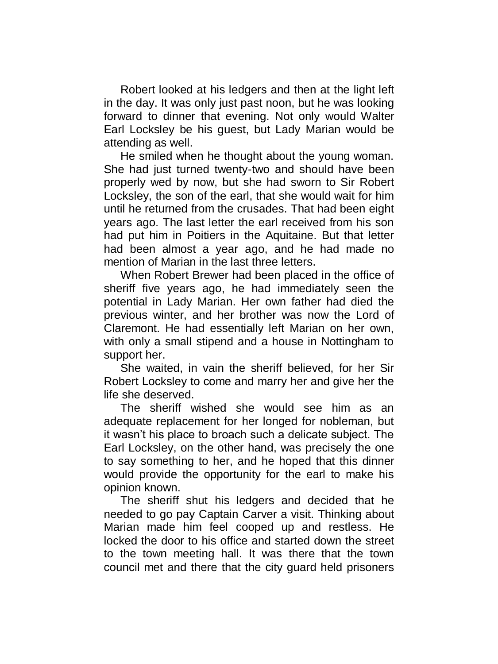Robert looked at his ledgers and then at the light left in the day. It was only just past noon, but he was looking forward to dinner that evening. Not only would Walter Earl Locksley be his guest, but Lady Marian would be attending as well.

He smiled when he thought about the young woman. She had just turned twenty-two and should have been properly wed by now, but she had sworn to Sir Robert Locksley, the son of the earl, that she would wait for him until he returned from the crusades. That had been eight years ago. The last letter the earl received from his son had put him in Poitiers in the Aquitaine. But that letter had been almost a year ago, and he had made no mention of Marian in the last three letters.

When Robert Brewer had been placed in the office of sheriff five years ago, he had immediately seen the potential in Lady Marian. Her own father had died the previous winter, and her brother was now the Lord of Claremont. He had essentially left Marian on her own, with only a small stipend and a house in Nottingham to support her.

She waited, in vain the sheriff believed, for her Sir Robert Locksley to come and marry her and give her the life she deserved.

The sheriff wished she would see him as an adequate replacement for her longed for nobleman, but it wasn't his place to broach such a delicate subject. The Earl Locksley, on the other hand, was precisely the one to say something to her, and he hoped that this dinner would provide the opportunity for the earl to make his opinion known.

The sheriff shut his ledgers and decided that he needed to go pay Captain Carver a visit. Thinking about Marian made him feel cooped up and restless. He locked the door to his office and started down the street to the town meeting hall. It was there that the town council met and there that the city guard held prisoners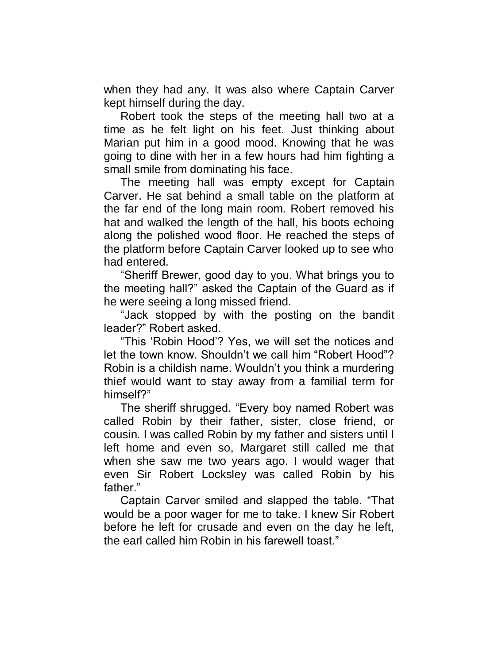when they had any. It was also where Captain Carver kept himself during the day.

Robert took the steps of the meeting hall two at a time as he felt light on his feet. Just thinking about Marian put him in a good mood. Knowing that he was going to dine with her in a few hours had him fighting a small smile from dominating his face.

The meeting hall was empty except for Captain Carver. He sat behind a small table on the platform at the far end of the long main room. Robert removed his hat and walked the length of the hall, his boots echoing along the polished wood floor. He reached the steps of the platform before Captain Carver looked up to see who had entered.

"Sheriff Brewer, good day to you. What brings you to the meeting hall?" asked the Captain of the Guard as if he were seeing a long missed friend.

"Jack stopped by with the posting on the bandit leader?" Robert asked.

"This 'Robin Hood'? Yes, we will set the notices and let the town know. Shouldn't we call him "Robert Hood"? Robin is a childish name. Wouldn't you think a murdering thief would want to stay away from a familial term for himself?"

The sheriff shrugged. "Every boy named Robert was called Robin by their father, sister, close friend, or cousin. I was called Robin by my father and sisters until I left home and even so, Margaret still called me that when she saw me two years ago. I would wager that even Sir Robert Locksley was called Robin by his father."

Captain Carver smiled and slapped the table. "That would be a poor wager for me to take. I knew Sir Robert before he left for crusade and even on the day he left, the earl called him Robin in his farewell toast."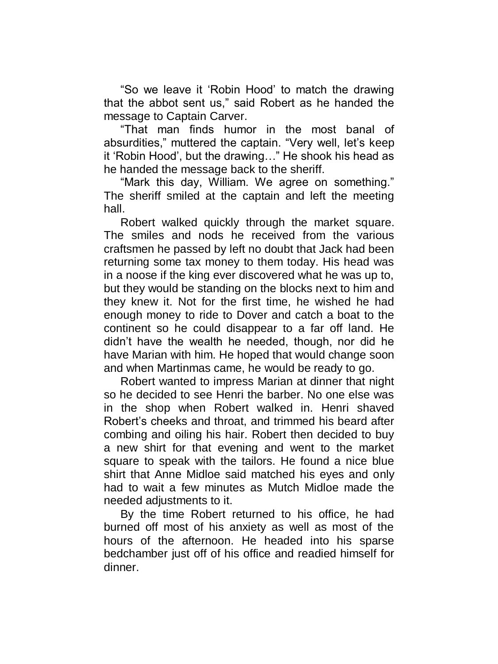"So we leave it 'Robin Hood' to match the drawing that the abbot sent us," said Robert as he handed the message to Captain Carver.

"That man finds humor in the most banal of absurdities," muttered the captain. "Very well, let's keep it 'Robin Hood', but the drawing…" He shook his head as he handed the message back to the sheriff.

"Mark this day, William. We agree on something." The sheriff smiled at the captain and left the meeting hall.

Robert walked quickly through the market square. The smiles and nods he received from the various craftsmen he passed by left no doubt that Jack had been returning some tax money to them today. His head was in a noose if the king ever discovered what he was up to, but they would be standing on the blocks next to him and they knew it. Not for the first time, he wished he had enough money to ride to Dover and catch a boat to the continent so he could disappear to a far off land. He didn't have the wealth he needed, though, nor did he have Marian with him. He hoped that would change soon and when Martinmas came, he would be ready to go.

Robert wanted to impress Marian at dinner that night so he decided to see Henri the barber. No one else was in the shop when Robert walked in. Henri shaved Robert's cheeks and throat, and trimmed his beard after combing and oiling his hair. Robert then decided to buy a new shirt for that evening and went to the market square to speak with the tailors. He found a nice blue shirt that Anne Midloe said matched his eyes and only had to wait a few minutes as Mutch Midloe made the needed adjustments to it.

By the time Robert returned to his office, he had burned off most of his anxiety as well as most of the hours of the afternoon. He headed into his sparse bedchamber just off of his office and readied himself for dinner.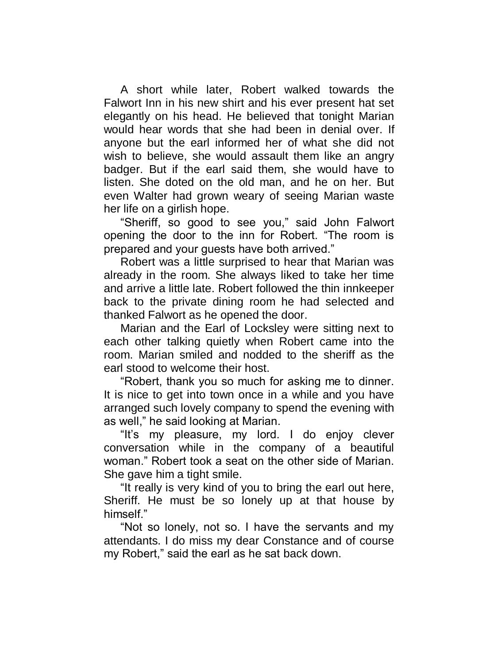A short while later, Robert walked towards the Falwort Inn in his new shirt and his ever present hat set elegantly on his head. He believed that tonight Marian would hear words that she had been in denial over. If anyone but the earl informed her of what she did not wish to believe, she would assault them like an angry badger. But if the earl said them, she would have to listen. She doted on the old man, and he on her. But even Walter had grown weary of seeing Marian waste her life on a girlish hope.

"Sheriff, so good to see you," said John Falwort opening the door to the inn for Robert. "The room is prepared and your guests have both arrived."

Robert was a little surprised to hear that Marian was already in the room. She always liked to take her time and arrive a little late. Robert followed the thin innkeeper back to the private dining room he had selected and thanked Falwort as he opened the door.

Marian and the Earl of Locksley were sitting next to each other talking quietly when Robert came into the room. Marian smiled and nodded to the sheriff as the earl stood to welcome their host.

"Robert, thank you so much for asking me to dinner. It is nice to get into town once in a while and you have arranged such lovely company to spend the evening with as well," he said looking at Marian.

"It's my pleasure, my lord. I do enjoy clever conversation while in the company of a beautiful woman." Robert took a seat on the other side of Marian. She gave him a tight smile.

"It really is very kind of you to bring the earl out here, Sheriff. He must be so lonely up at that house by himself<sup>"</sup>

"Not so lonely, not so. I have the servants and my attendants. I do miss my dear Constance and of course my Robert," said the earl as he sat back down.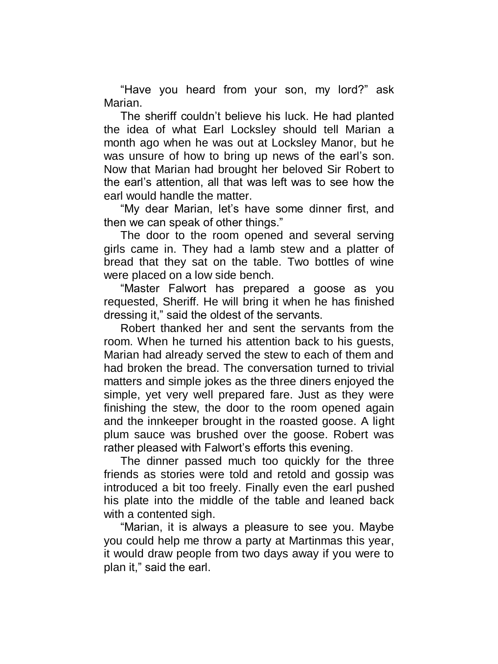"Have you heard from your son, my lord?" ask Marian.

The sheriff couldn't believe his luck. He had planted the idea of what Earl Locksley should tell Marian a month ago when he was out at Locksley Manor, but he was unsure of how to bring up news of the earl's son. Now that Marian had brought her beloved Sir Robert to the earl's attention, all that was left was to see how the earl would handle the matter.

"My dear Marian, let's have some dinner first, and then we can speak of other things."

The door to the room opened and several serving girls came in. They had a lamb stew and a platter of bread that they sat on the table. Two bottles of wine were placed on a low side bench.

"Master Falwort has prepared a goose as you requested, Sheriff. He will bring it when he has finished dressing it," said the oldest of the servants.

Robert thanked her and sent the servants from the room. When he turned his attention back to his guests, Marian had already served the stew to each of them and had broken the bread. The conversation turned to trivial matters and simple jokes as the three diners enjoyed the simple, yet very well prepared fare. Just as they were finishing the stew, the door to the room opened again and the innkeeper brought in the roasted goose. A light plum sauce was brushed over the goose. Robert was rather pleased with Falwort's efforts this evening.

The dinner passed much too quickly for the three friends as stories were told and retold and gossip was introduced a bit too freely. Finally even the earl pushed his plate into the middle of the table and leaned back with a contented sigh.

"Marian, it is always a pleasure to see you. Maybe you could help me throw a party at Martinmas this year, it would draw people from two days away if you were to plan it," said the earl.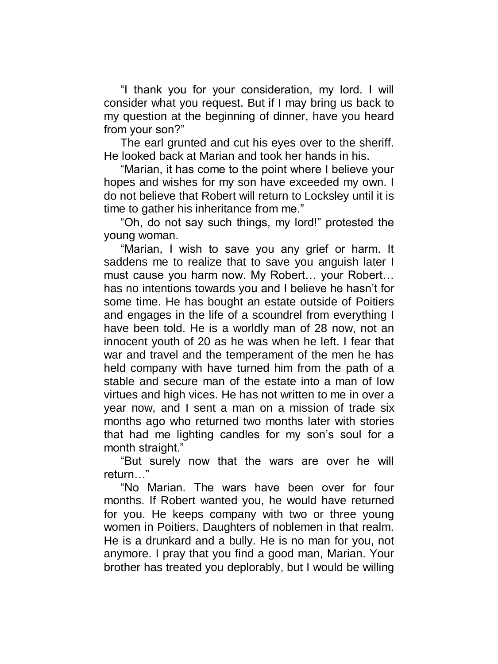"I thank you for your consideration, my lord. I will consider what you request. But if I may bring us back to my question at the beginning of dinner, have you heard from your son?"

The earl grunted and cut his eyes over to the sheriff. He looked back at Marian and took her hands in his.

"Marian, it has come to the point where I believe your hopes and wishes for my son have exceeded my own. I do not believe that Robert will return to Locksley until it is time to gather his inheritance from me."

"Oh, do not say such things, my lord!" protested the young woman.

"Marian, I wish to save you any grief or harm. It saddens me to realize that to save you anguish later I must cause you harm now. My Robert… your Robert… has no intentions towards you and I believe he hasn't for some time. He has bought an estate outside of Poitiers and engages in the life of a scoundrel from everything I have been told. He is a worldly man of 28 now, not an innocent youth of 20 as he was when he left. I fear that war and travel and the temperament of the men he has held company with have turned him from the path of a stable and secure man of the estate into a man of low virtues and high vices. He has not written to me in over a year now, and I sent a man on a mission of trade six months ago who returned two months later with stories that had me lighting candles for my son's soul for a month straight."

"But surely now that the wars are over he will return…"

"No Marian. The wars have been over for four months. If Robert wanted you, he would have returned for you. He keeps company with two or three young women in Poitiers. Daughters of noblemen in that realm. He is a drunkard and a bully. He is no man for you, not anymore. I pray that you find a good man, Marian. Your brother has treated you deplorably, but I would be willing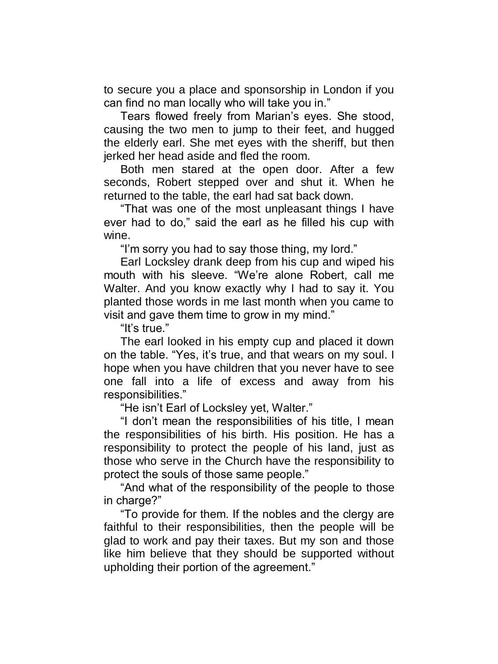to secure you a place and sponsorship in London if you can find no man locally who will take you in."

Tears flowed freely from Marian's eyes. She stood, causing the two men to jump to their feet, and hugged the elderly earl. She met eyes with the sheriff, but then jerked her head aside and fled the room.

Both men stared at the open door. After a few seconds, Robert stepped over and shut it. When he returned to the table, the earl had sat back down.

"That was one of the most unpleasant things I have ever had to do," said the earl as he filled his cup with wine.

"I'm sorry you had to say those thing, my lord."

Earl Locksley drank deep from his cup and wiped his mouth with his sleeve. "We're alone Robert, call me Walter. And you know exactly why I had to say it. You planted those words in me last month when you came to visit and gave them time to grow in my mind."

"It's true."

The earl looked in his empty cup and placed it down on the table. "Yes, it's true, and that wears on my soul. I hope when you have children that you never have to see one fall into a life of excess and away from his responsibilities."

"He isn't Earl of Locksley yet, Walter."

"I don't mean the responsibilities of his title, I mean the responsibilities of his birth. His position. He has a responsibility to protect the people of his land, just as those who serve in the Church have the responsibility to protect the souls of those same people."

"And what of the responsibility of the people to those in charge?"

"To provide for them. If the nobles and the clergy are faithful to their responsibilities, then the people will be glad to work and pay their taxes. But my son and those like him believe that they should be supported without upholding their portion of the agreement."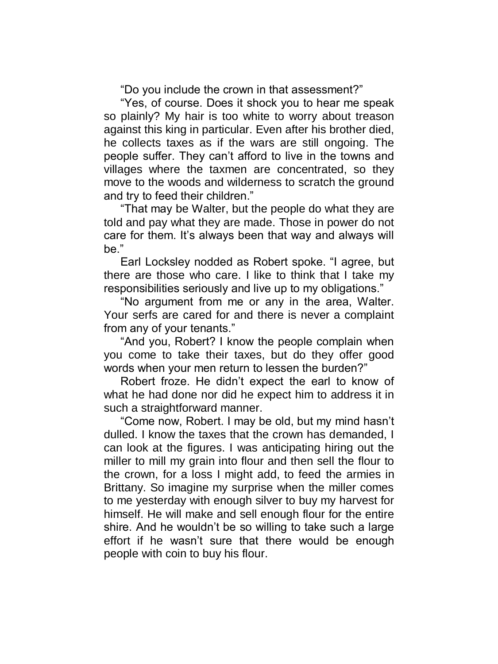"Do you include the crown in that assessment?"

"Yes, of course. Does it shock you to hear me speak so plainly? My hair is too white to worry about treason against this king in particular. Even after his brother died, he collects taxes as if the wars are still ongoing. The people suffer. They can't afford to live in the towns and villages where the taxmen are concentrated, so they move to the woods and wilderness to scratch the ground and try to feed their children."

"That may be Walter, but the people do what they are told and pay what they are made. Those in power do not care for them. It's always been that way and always will be."

Earl Locksley nodded as Robert spoke. "I agree, but there are those who care. I like to think that I take my responsibilities seriously and live up to my obligations."

"No argument from me or any in the area, Walter. Your serfs are cared for and there is never a complaint from any of your tenants."

"And you, Robert? I know the people complain when you come to take their taxes, but do they offer good words when your men return to lessen the burden?"

Robert froze. He didn't expect the earl to know of what he had done nor did he expect him to address it in such a straightforward manner.

"Come now, Robert. I may be old, but my mind hasn't dulled. I know the taxes that the crown has demanded, I can look at the figures. I was anticipating hiring out the miller to mill my grain into flour and then sell the flour to the crown, for a loss I might add, to feed the armies in Brittany. So imagine my surprise when the miller comes to me yesterday with enough silver to buy my harvest for himself. He will make and sell enough flour for the entire shire. And he wouldn't be so willing to take such a large effort if he wasn't sure that there would be enough people with coin to buy his flour.